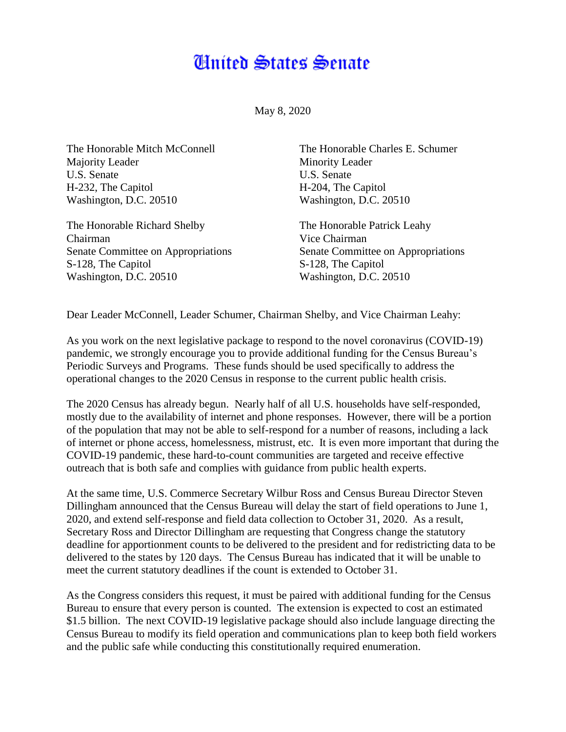## Anited States Senate

May 8, 2020

The Honorable Mitch McConnell Majority Leader U.S. Senate H-232, The Capitol Washington, D.C. 20510

The Honorable Richard Shelby Chairman Senate Committee on Appropriations S-128, The Capitol Washington, D.C. 20510

The Honorable Charles E. Schumer Minority Leader U.S. Senate H-204, The Capitol Washington, D.C. 20510

The Honorable Patrick Leahy Vice Chairman Senate Committee on Appropriations S-128, The Capitol Washington, D.C. 20510

Dear Leader McConnell, Leader Schumer, Chairman Shelby, and Vice Chairman Leahy:

As you work on the next legislative package to respond to the novel coronavirus (COVID-19) pandemic, we strongly encourage you to provide additional funding for the Census Bureau's Periodic Surveys and Programs. These funds should be used specifically to address the operational changes to the 2020 Census in response to the current public health crisis.

The 2020 Census has already begun. Nearly half of all U.S. households have self-responded, mostly due to the availability of internet and phone responses. However, there will be a portion of the population that may not be able to self-respond for a number of reasons, including a lack of internet or phone access, homelessness, mistrust, etc. It is even more important that during the COVID-19 pandemic, these hard-to-count communities are targeted and receive effective outreach that is both safe and complies with guidance from public health experts.

At the same time, U.S. Commerce Secretary Wilbur Ross and Census Bureau Director Steven Dillingham announced that the Census Bureau will delay the start of field operations to June 1, 2020, and extend self-response and field data collection to October 31, 2020. As a result, Secretary Ross and Director Dillingham are requesting that Congress change the statutory deadline for apportionment counts to be delivered to the president and for redistricting data to be delivered to the states by 120 days. The Census Bureau has indicated that it will be unable to meet the current statutory deadlines if the count is extended to October 31.

As the Congress considers this request, it must be paired with additional funding for the Census Bureau to ensure that every person is counted. The extension is expected to cost an estimated \$1.5 billion. The next COVID-19 legislative package should also include language directing the Census Bureau to modify its field operation and communications plan to keep both field workers and the public safe while conducting this constitutionally required enumeration.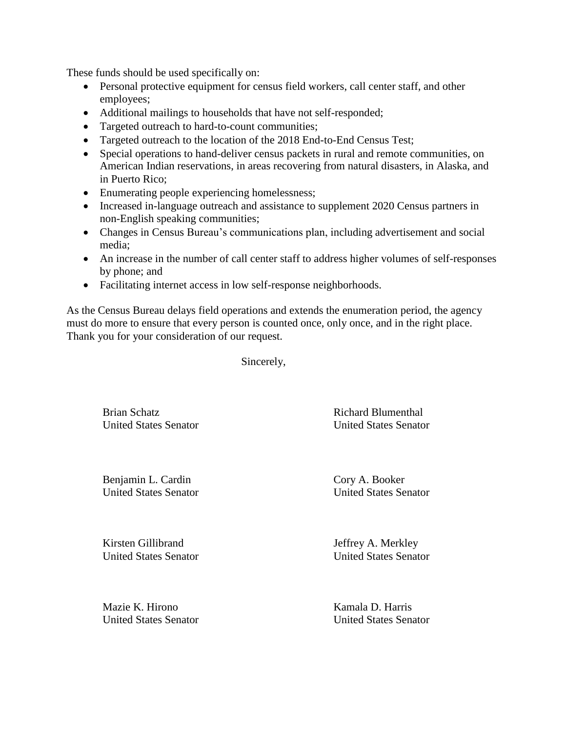These funds should be used specifically on:

- Personal protective equipment for census field workers, call center staff, and other employees;
- Additional mailings to households that have not self-responded;
- Targeted outreach to hard-to-count communities;
- Targeted outreach to the location of the 2018 End-to-End Census Test;
- Special operations to hand-deliver census packets in rural and remote communities, on American Indian reservations, in areas recovering from natural disasters, in Alaska, and in Puerto Rico;
- Enumerating people experiencing homelessness;
- Increased in-language outreach and assistance to supplement 2020 Census partners in non-English speaking communities;
- Changes in Census Bureau's communications plan, including advertisement and social media;
- An increase in the number of call center staff to address higher volumes of self-responses by phone; and
- Facilitating internet access in low self-response neighborhoods.

As the Census Bureau delays field operations and extends the enumeration period, the agency must do more to ensure that every person is counted once, only once, and in the right place. Thank you for your consideration of our request.

Sincerely,

Brian Schatz United States Senator Richard Blumenthal United States Senator

Benjamin L. Cardin United States Senator

Kirsten Gillibrand

Cory A. Booker United States Senator

Jeffrey A. Merkley United States Senator

Mazie K. Hirono United States Senator

United States Senator

Kamala D. Harris United States Senator